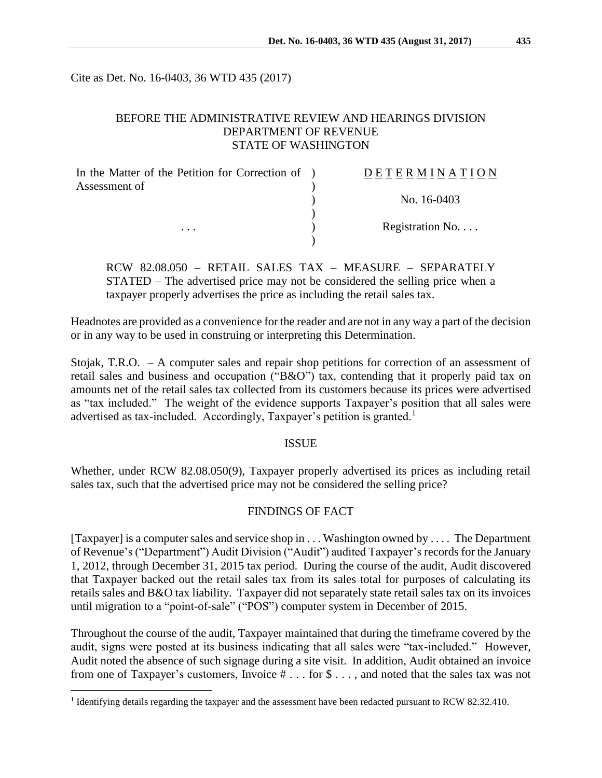Cite as Det. No. 16-0403, 36 WTD 435 (2017)

### BEFORE THE ADMINISTRATIVE REVIEW AND HEARINGS DIVISION DEPARTMENT OF REVENUE STATE OF WASHINGTON

| In the Matter of the Petition for Correction of ) | DETERMINATION            |
|---------------------------------------------------|--------------------------|
| Assessment of                                     | No. 16-0403              |
|                                                   |                          |
| $\cdots$                                          | Registration No. $\dots$ |

RCW 82.08.050 – RETAIL SALES TAX – MEASURE – SEPARATELY STATED – The advertised price may not be considered the selling price when a taxpayer properly advertises the price as including the retail sales tax.

Headnotes are provided as a convenience for the reader and are not in any way a part of the decision or in any way to be used in construing or interpreting this Determination.

Stojak, T.R.O. – A computer sales and repair shop petitions for correction of an assessment of retail sales and business and occupation ("B&O") tax, contending that it properly paid tax on amounts net of the retail sales tax collected from its customers because its prices were advertised as "tax included." The weight of the evidence supports Taxpayer's position that all sales were advertised as tax-included. Accordingly, Taxpayer's petition is granted.<sup>1</sup>

#### ISSUE

Whether, under RCW 82.08.050(9), Taxpayer properly advertised its prices as including retail sales tax, such that the advertised price may not be considered the selling price?

# FINDINGS OF FACT

[Taxpayer] is a computer sales and service shop in  $\dots$  Washington owned by  $\dots$  The Department of Revenue's ("Department") Audit Division ("Audit") audited Taxpayer's records for the January 1, 2012, through December 31, 2015 tax period. During the course of the audit, Audit discovered that Taxpayer backed out the retail sales tax from its sales total for purposes of calculating its retails sales and B&O tax liability. Taxpayer did not separately state retail sales tax on its invoices until migration to a "point-of-sale" ("POS") computer system in December of 2015.

Throughout the course of the audit, Taxpayer maintained that during the timeframe covered by the audit, signs were posted at its business indicating that all sales were "tax-included." However, Audit noted the absence of such signage during a site visit. In addition, Audit obtained an invoice from one of Taxpayer's customers, Invoice # . . . for \$ . . . , and noted that the sales tax was not

 $\overline{a}$ 

<sup>&</sup>lt;sup>1</sup> Identifying details regarding the taxpayer and the assessment have been redacted pursuant to RCW 82.32.410.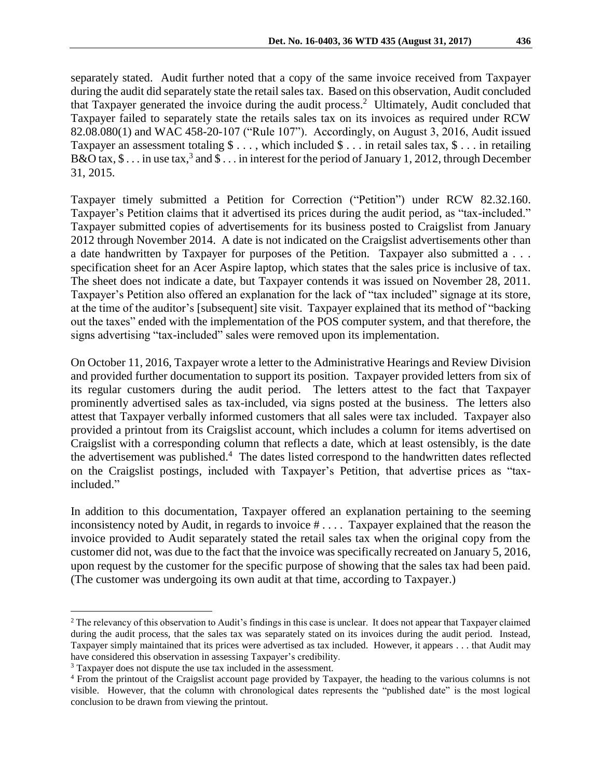separately stated. Audit further noted that a copy of the same invoice received from Taxpayer during the audit did separately state the retail sales tax. Based on this observation, Audit concluded that Taxpayer generated the invoice during the audit process.<sup>2</sup> Ultimately, Audit concluded that Taxpayer failed to separately state the retails sales tax on its invoices as required under RCW 82.08.080(1) and WAC 458-20-107 ("Rule 107"). Accordingly, on August 3, 2016, Audit issued Taxpayer an assessment totaling  $\$\dots$ , which included  $\$\dots$  in retail sales tax,  $\$\dots$  in retailing B&O tax, \$... in use tax,<sup>3</sup> and \$... in interest for the period of January 1, 2012, through December 31, 2015.

Taxpayer timely submitted a Petition for Correction ("Petition") under RCW 82.32.160. Taxpayer's Petition claims that it advertised its prices during the audit period, as "tax-included." Taxpayer submitted copies of advertisements for its business posted to Craigslist from January 2012 through November 2014. A date is not indicated on the Craigslist advertisements other than a date handwritten by Taxpayer for purposes of the Petition. Taxpayer also submitted a . . . specification sheet for an Acer Aspire laptop, which states that the sales price is inclusive of tax. The sheet does not indicate a date, but Taxpayer contends it was issued on November 28, 2011. Taxpayer's Petition also offered an explanation for the lack of "tax included" signage at its store, at the time of the auditor's [subsequent] site visit. Taxpayer explained that its method of "backing out the taxes" ended with the implementation of the POS computer system, and that therefore, the signs advertising "tax-included" sales were removed upon its implementation.

On October 11, 2016, Taxpayer wrote a letter to the Administrative Hearings and Review Division and provided further documentation to support its position. Taxpayer provided letters from six of its regular customers during the audit period. The letters attest to the fact that Taxpayer prominently advertised sales as tax-included, via signs posted at the business. The letters also attest that Taxpayer verbally informed customers that all sales were tax included. Taxpayer also provided a printout from its Craigslist account, which includes a column for items advertised on Craigslist with a corresponding column that reflects a date, which at least ostensibly, is the date the advertisement was published.<sup>4</sup> The dates listed correspond to the handwritten dates reflected on the Craigslist postings, included with Taxpayer's Petition, that advertise prices as "taxincluded."

In addition to this documentation, Taxpayer offered an explanation pertaining to the seeming inconsistency noted by Audit, in regards to invoice # . . . . Taxpayer explained that the reason the invoice provided to Audit separately stated the retail sales tax when the original copy from the customer did not, was due to the fact that the invoice was specifically recreated on January 5, 2016, upon request by the customer for the specific purpose of showing that the sales tax had been paid. (The customer was undergoing its own audit at that time, according to Taxpayer.)

 $\overline{a}$ 

<sup>2</sup> The relevancy of this observation to Audit's findings in this case is unclear. It does not appear that Taxpayer claimed during the audit process, that the sales tax was separately stated on its invoices during the audit period. Instead, Taxpayer simply maintained that its prices were advertised as tax included. However, it appears . . . that Audit may have considered this observation in assessing Taxpayer's credibility.

<sup>3</sup> Taxpayer does not dispute the use tax included in the assessment.

<sup>4</sup> From the printout of the Craigslist account page provided by Taxpayer, the heading to the various columns is not visible. However, that the column with chronological dates represents the "published date" is the most logical conclusion to be drawn from viewing the printout.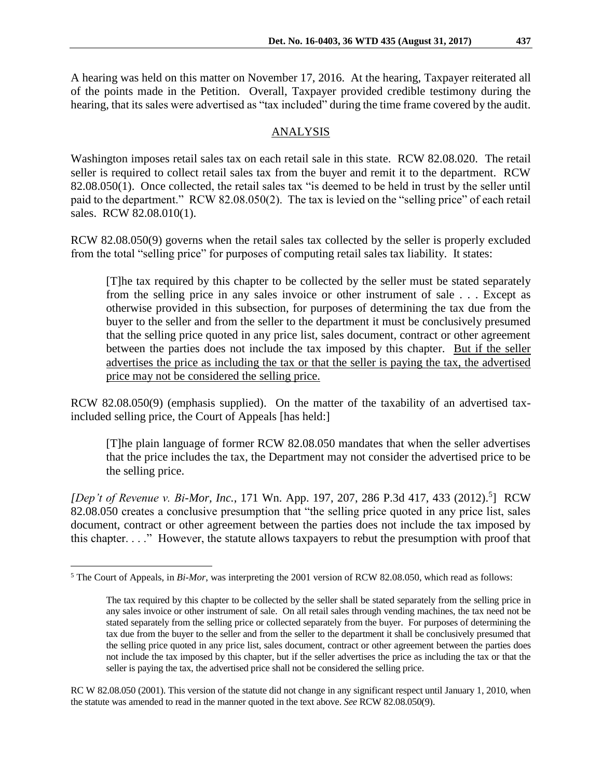A hearing was held on this matter on November 17, 2016. At the hearing, Taxpayer reiterated all of the points made in the Petition. Overall, Taxpayer provided credible testimony during the hearing, that its sales were advertised as "tax included" during the time frame covered by the audit.

## ANALYSIS

Washington imposes retail sales tax on each retail sale in this state. RCW 82.08.020. The retail seller is required to collect retail sales tax from the buyer and remit it to the department. RCW 82.08.050(1). Once collected, the retail sales tax "is deemed to be held in trust by the seller until paid to the department." RCW 82.08.050(2). The tax is levied on the "selling price" of each retail sales. RCW 82.08.010(1).

RCW 82.08.050(9) governs when the retail sales tax collected by the seller is properly excluded from the total "selling price" for purposes of computing retail sales tax liability. It states:

[T]he tax required by this chapter to be collected by the seller must be stated separately from the selling price in any sales invoice or other instrument of sale . . . Except as otherwise provided in this subsection, for purposes of determining the tax due from the buyer to the seller and from the seller to the department it must be conclusively presumed that the selling price quoted in any price list, sales document, contract or other agreement between the parties does not include the tax imposed by this chapter. But if the seller advertises the price as including the tax or that the seller is paying the tax, the advertised price may not be considered the selling price.

RCW 82.08.050(9) (emphasis supplied). On the matter of the taxability of an advertised taxincluded selling price, the Court of Appeals [has held:]

[T]he plain language of former RCW 82.08.050 mandates that when the seller advertises that the price includes the tax, the Department may not consider the advertised price to be the selling price.

[Dep't of Revenue v. Bi-Mor, Inc., 171 Wn. App. 197, 207, 286 P.3d 417, 433 (2012).<sup>5</sup>] RCW 82.08.050 creates a conclusive presumption that "the selling price quoted in any price list, sales document, contract or other agreement between the parties does not include the tax imposed by this chapter. . . ." However, the statute allows taxpayers to rebut the presumption with proof that

 $\overline{a}$ 

RC W 82.08.050 (2001). This version of the statute did not change in any significant respect until January 1, 2010, when the statute was amended to read in the manner quoted in the text above. *See* RCW 82.08.050(9).

<sup>&</sup>lt;sup>5</sup> The Court of Appeals, in *Bi-Mor*, was interpreting the 2001 version of RCW 82.08.050, which read as follows:

The tax required by this chapter to be collected by the seller shall be stated separately from the selling price in any sales invoice or other instrument of sale. On all retail sales through vending machines, the tax need not be stated separately from the selling price or collected separately from the buyer. For purposes of determining the tax due from the buyer to the seller and from the seller to the department it shall be conclusively presumed that the selling price quoted in any price list, sales document, contract or other agreement between the parties does not include the tax imposed by this chapter, but if the seller advertises the price as including the tax or that the seller is paying the tax, the advertised price shall not be considered the selling price.